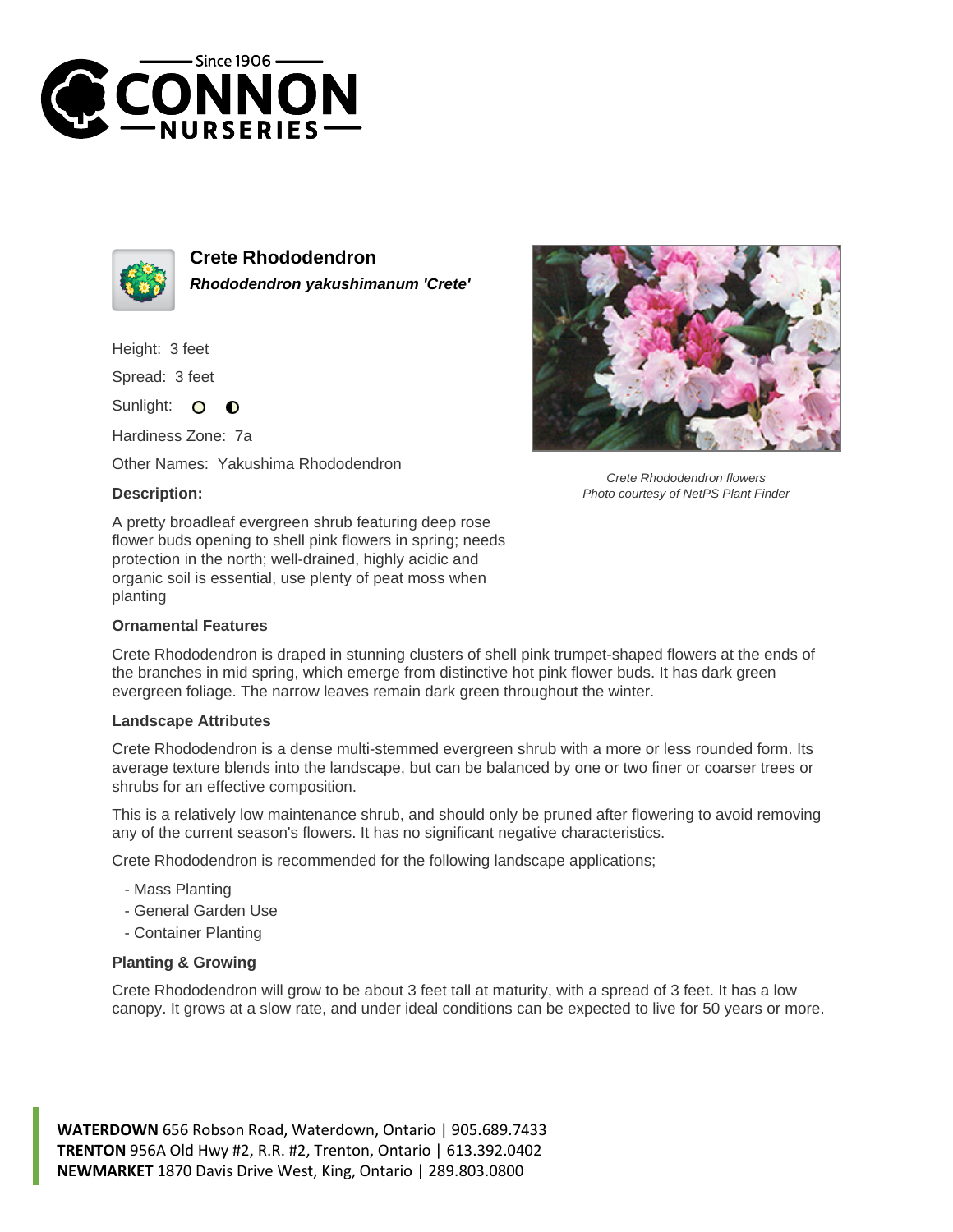



**Crete Rhododendron Rhododendron yakushimanum 'Crete'**

Height: 3 feet

Spread: 3 feet

Sunlight: O  $\bullet$ 

Hardiness Zone: 7a

Other Names: Yakushima Rhododendron

## **Description:**



Crete Rhododendron flowers Photo courtesy of NetPS Plant Finder

A pretty broadleaf evergreen shrub featuring deep rose flower buds opening to shell pink flowers in spring; needs protection in the north; well-drained, highly acidic and organic soil is essential, use plenty of peat moss when planting

## **Ornamental Features**

Crete Rhododendron is draped in stunning clusters of shell pink trumpet-shaped flowers at the ends of the branches in mid spring, which emerge from distinctive hot pink flower buds. It has dark green evergreen foliage. The narrow leaves remain dark green throughout the winter.

## **Landscape Attributes**

Crete Rhododendron is a dense multi-stemmed evergreen shrub with a more or less rounded form. Its average texture blends into the landscape, but can be balanced by one or two finer or coarser trees or shrubs for an effective composition.

This is a relatively low maintenance shrub, and should only be pruned after flowering to avoid removing any of the current season's flowers. It has no significant negative characteristics.

Crete Rhododendron is recommended for the following landscape applications;

- Mass Planting
- General Garden Use
- Container Planting

## **Planting & Growing**

Crete Rhododendron will grow to be about 3 feet tall at maturity, with a spread of 3 feet. It has a low canopy. It grows at a slow rate, and under ideal conditions can be expected to live for 50 years or more.

**WATERDOWN** 656 Robson Road, Waterdown, Ontario | 905.689.7433 **TRENTON** 956A Old Hwy #2, R.R. #2, Trenton, Ontario | 613.392.0402 **NEWMARKET** 1870 Davis Drive West, King, Ontario | 289.803.0800